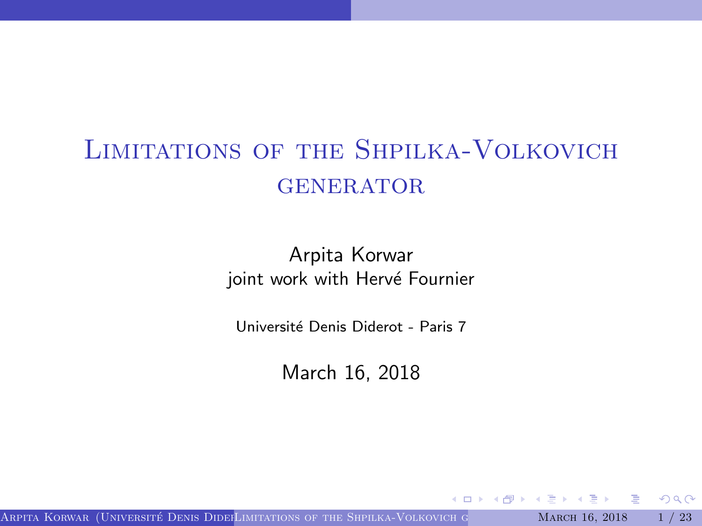# <span id="page-0-0"></span>Limitations of the Shpilka-Volkovich **GENERATOR**

Arpita Korwar joint work with Hervé Fournier

Université Denis Diderot - Paris 7

March 16, 2018

Arpita Korwar (Université Denis Dider[Limitations of the Shpilka-Volkovich generator](#page-27-0) March 16, 2018  $1/23$ 

4 D F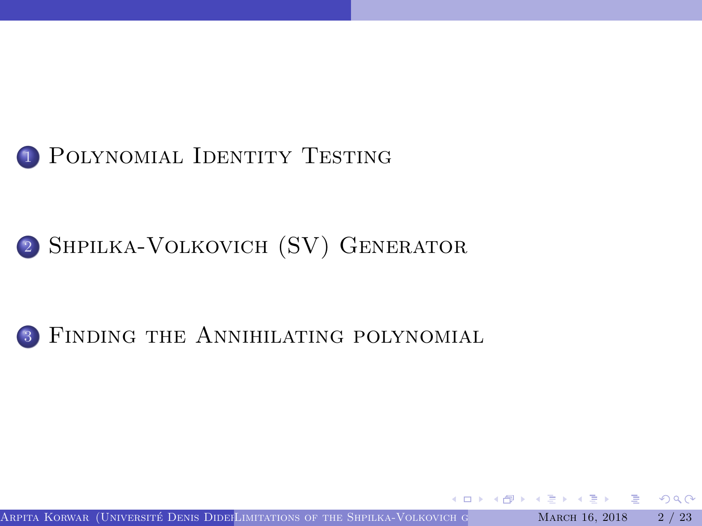

## <sup>2</sup> [Shpilka-Volkovich \(SV\) Generator](#page-10-0)

#### <sup>3</sup> [Finding the Annihilating polynomial](#page-16-0)

Arpita Korwar (Université Denis Dider[Limitations of the Shpilka-Volkovich generator](#page-0-0) March 16, 2018  $2/23$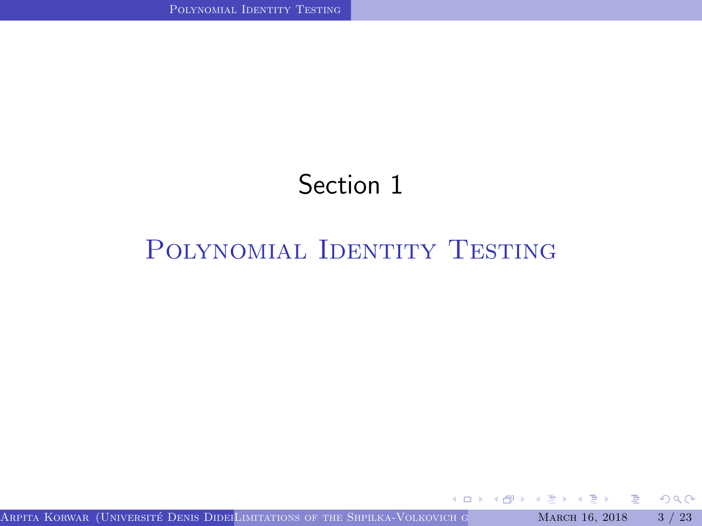# Section 1

## <span id="page-2-0"></span>POLYNOMIAL IDENTITY TESTING

Arpita Korwar (Université Denis Dider[Limitations of the Shpilka-Volkovich generator](#page-0-0) March 16, 2018 3 / 23

× 目 G

 $2Q$ 

4.000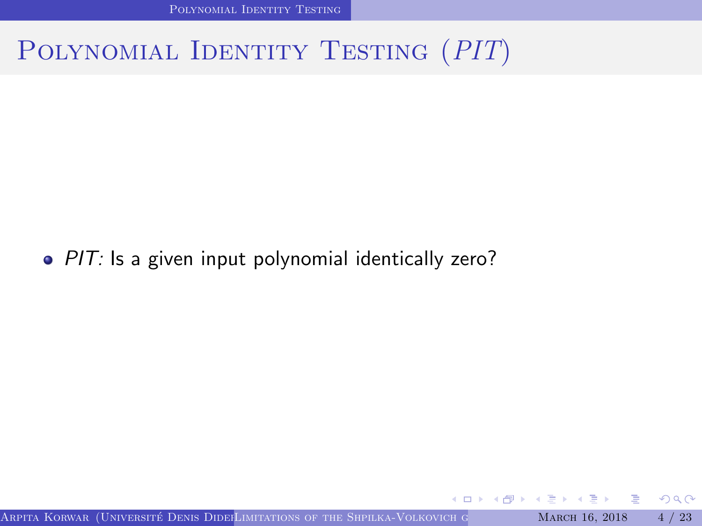[Polynomial Identity Testing](#page-2-0)

# POLYNOMIAL IDENTITY TESTING (PIT)

#### • PIT: Is a given input polynomial identically zero?

Arpita Korwar (Université Denis Dider[Limitations of the Shpilka-Volkovich generator](#page-0-0) March 16, 2018  $4/23$ 

4 D F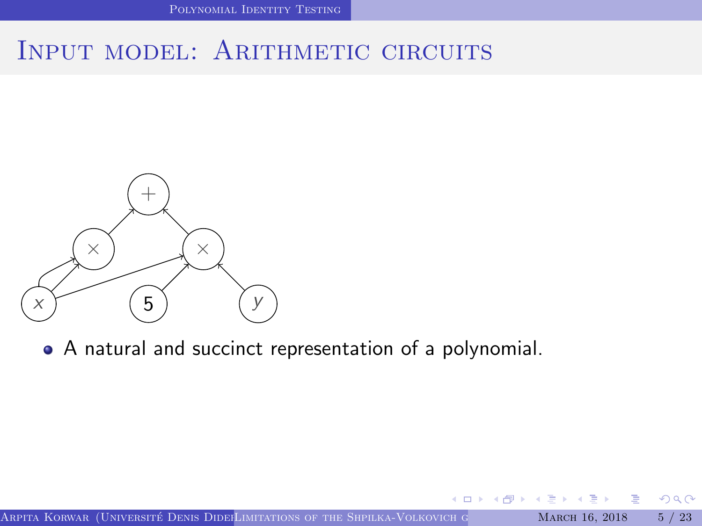#### INPUT MODEL: ARITHMETIC CIRCUITS



A natural and succinct representation of a polynomial.

 $\leftarrow$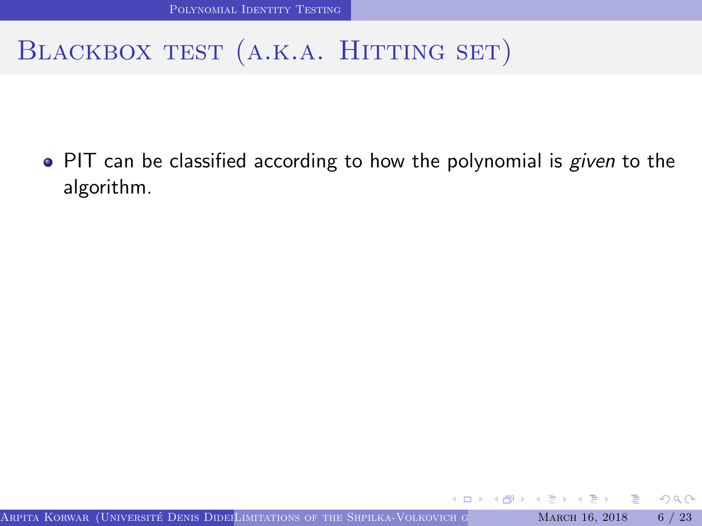• PIT can be classified according to how the polynomial is given to the algorithm.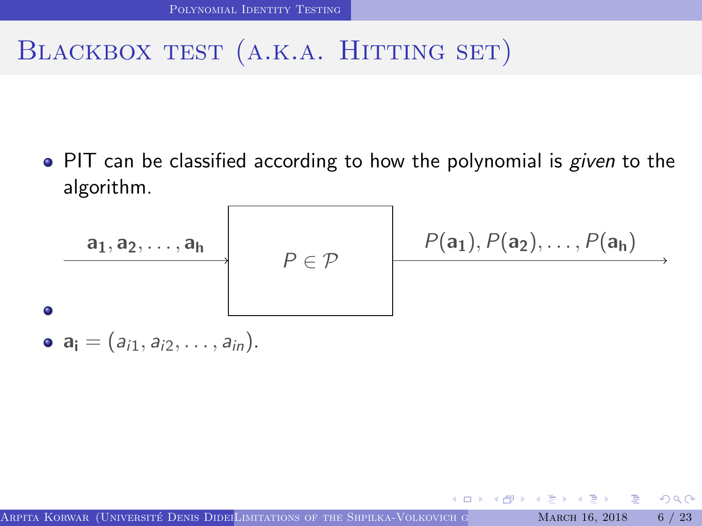• PIT can be classified according to how the polynomial is *given* to the algorithm.



 $QQ$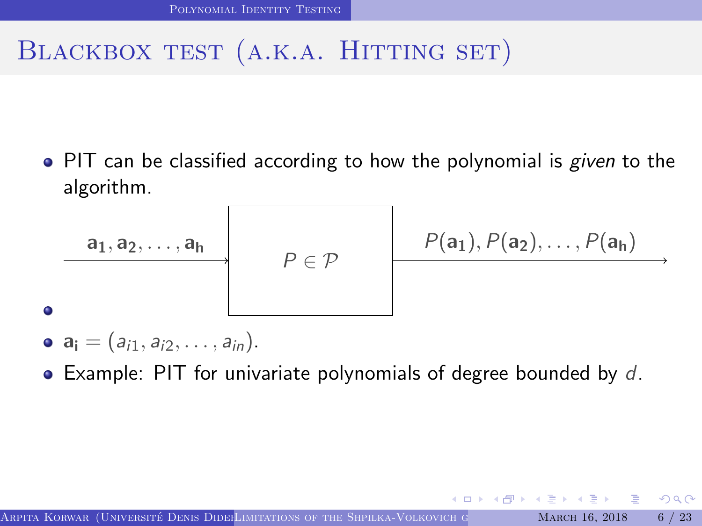• PIT can be classified according to how the polynomial is *given* to the algorithm.



•  $a_i = (a_{i1}, a_{i2}, \ldots, a_{in}).$ 

٠

 $\bullet$  Example: PIT for univariate polynomials of degree bounded by d.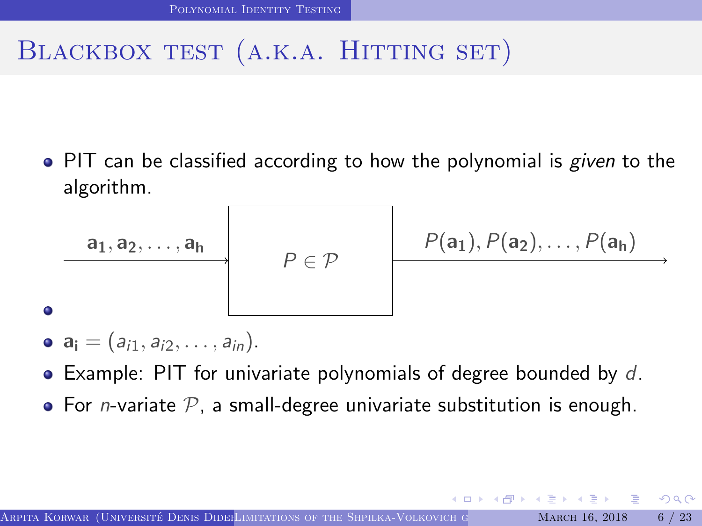• PIT can be classified according to how the polynomial is *given* to the algorithm.



- $a_i = (a_{i1}, a_{i2}, \ldots, a_{in}).$
- $\bullet$  Example: PIT for univariate polynomials of degree bounded by d.
- For *n*-variate  $P$ , a small-degree univariate substitution is enough.

 $QQ$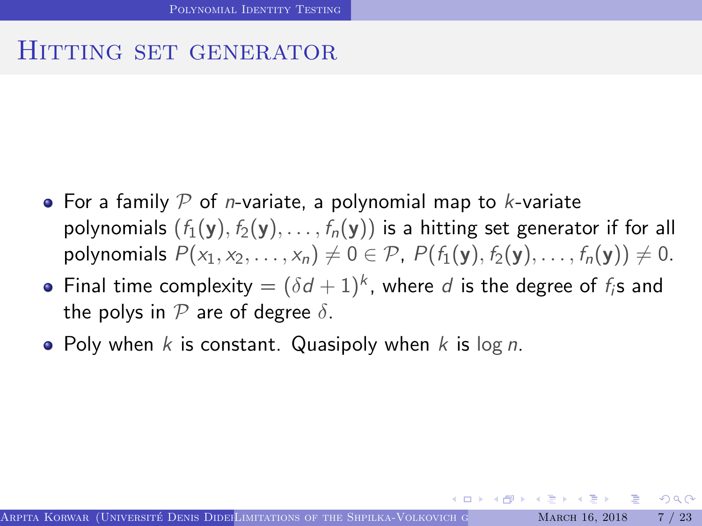#### HITTING SET GENERATOR

- For a family  $P$  of *n*-variate, a polynomial map to *k*-variate polynomials  $(f_1(y), f_2(y), \ldots, f_n(y))$  is a hitting set generator if for all polynomials  $P(x_1, x_2, ..., x_n) \neq 0 \in \mathcal{P}$ ,  $P(f_1(y), f_2(y), ..., f_n(y)) \neq 0$ .
- Final time complexity  $=(\delta d+1)^k$ , where  $d$  is the degree of  $f_i$ s and the polys in  $P$  are of degree  $\delta$ .
- Poly when k is constant. Quasipoly when k is  $log n$ .

 $\Omega$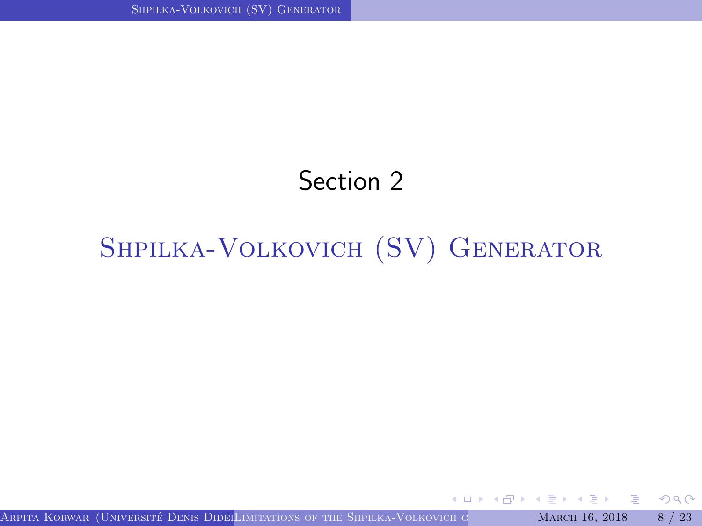# Section 2

# <span id="page-10-0"></span>[Shpilka-Volkovich \(SV\) Generator](#page-10-0)

Arpita Korwar (Université Denis Dider[Limitations of the Shpilka-Volkovich generator](#page-0-0) March 16, 2018 8 / 23

4 D F

G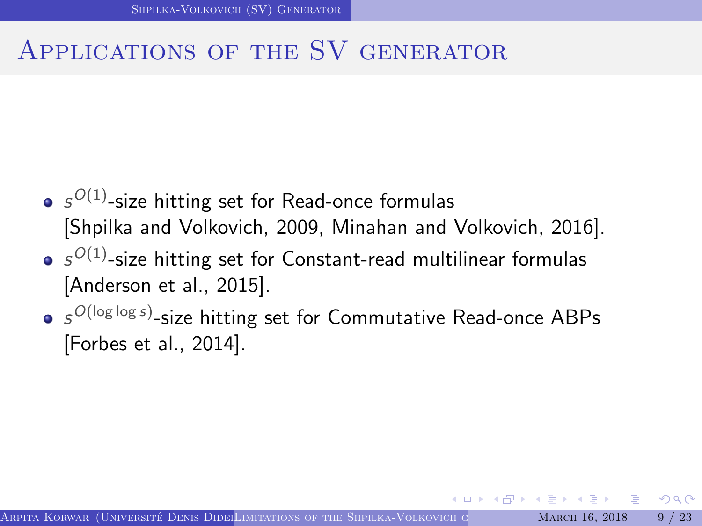## Applications of the SV generator

- $\mathcal{S}^{O(1)}$ -size hitting set for Read-once formulas [\[Shpilka and Volkovich, 2009,](#page-26-0) [Minahan and Volkovich, 2016\]](#page-26-1).
- $\mathcal{S}^{O(1)}$ -size hitting set for Constant-read multilinear formulas [\[Anderson et al., 2015\]](#page-26-2).
- $\mathcal{s}^{O(\log\log s)}$ -size hitting set for Commutative Read-once ABPs [\[Forbes et al., 2014\]](#page-26-3).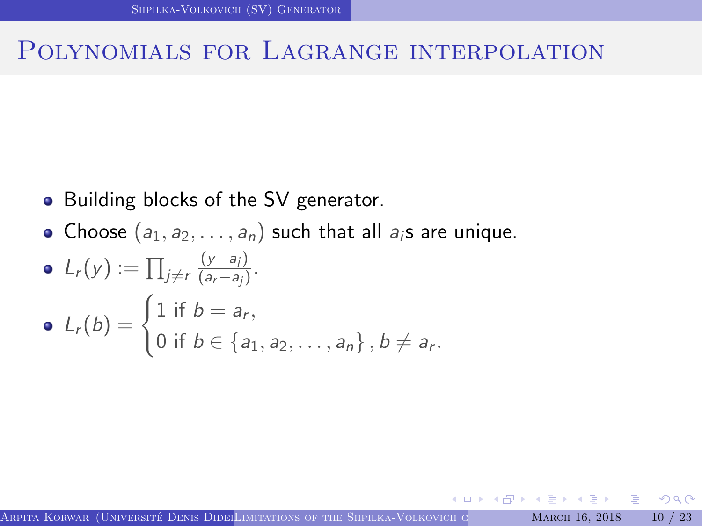#### Polynomials for Lagrange interpolation

- Building blocks of the SV generator.
- Choose  $(a_1, a_2, \ldots, a_n)$  such that all  $a_i$ s are unique.

• 
$$
L_r(y) := \prod_{j \neq r} \frac{(y-a_j)}{(a_r-a_j)}
$$
.  
\n•  $L_r(b) = \begin{cases} 1 \text{ if } b = a_r, \\ 0 \text{ if } b \in \{a_1, a_2, ..., a_n\}, b \neq a_r. \end{cases}$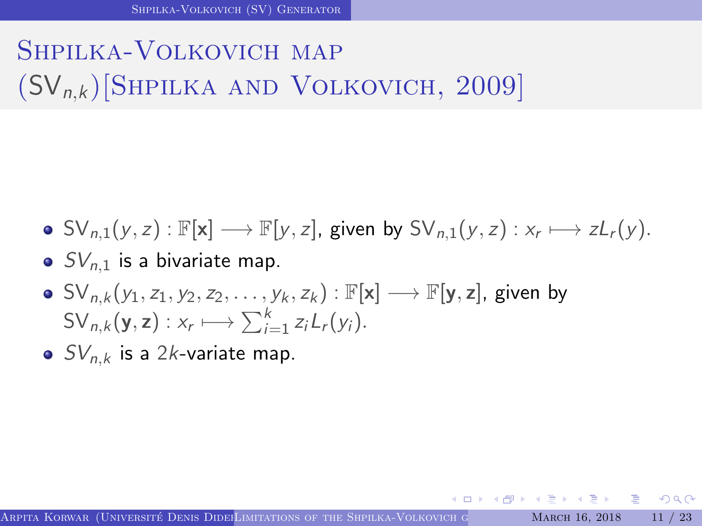# Shpilka-Volkovich map  $(SV_{n,k})$ [SHPILKA AND VOLKOVICH, 2009]

- $SV_{n,1}(y, z) : \mathbb{F}[\mathsf{x}] \longrightarrow \mathbb{F}[y, z]$ , given by  $SV_{n,1}(y, z) : x_r \longmapsto zL_r(y)$ .
- $\bullet$  SV<sub>n,1</sub> is a bivariate map.
- $\bullet$  SV<sub>n,k</sub> (y<sub>1</sub>, z<sub>1</sub>, y<sub>2</sub>, z<sub>2</sub>, . . . , y<sub>k</sub>, z<sub>k</sub>) :  $\mathbb{F}[\mathbf{x}] \longrightarrow \mathbb{F}[\mathbf{y}, \mathbf{z}]$ , given by  $SV_{n,k}(\mathbf{y},\mathbf{z}): x_r \longmapsto \sum_{i=1}^k z_i L_r(y_i).$
- $SV_{n,k}$  is a 2k-variate map.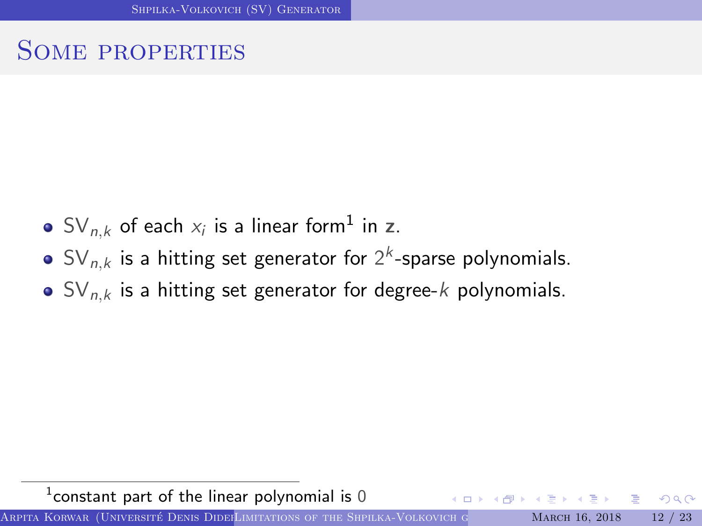## Some properties

- $\mathsf{SV}_{n,k}$  of each  $\mathsf{x}_i$  is a linear form $^1$  in  $\mathsf{z}.$
- $\mathsf{SV}_{n,k}$  is a hitting set generator for  $2^k$ -sparse polynomials.
- $\bullet$  SV<sub>n,k</sub> is a hitting set generator for degree-k polynomials.

 $^1$ constant part of the linear polynomial is 0

Arpita Korwar (Université Denis Dider[Limitations of the Shpilka-Volkovich generator](#page-0-0) March 16, 2018 12 / 23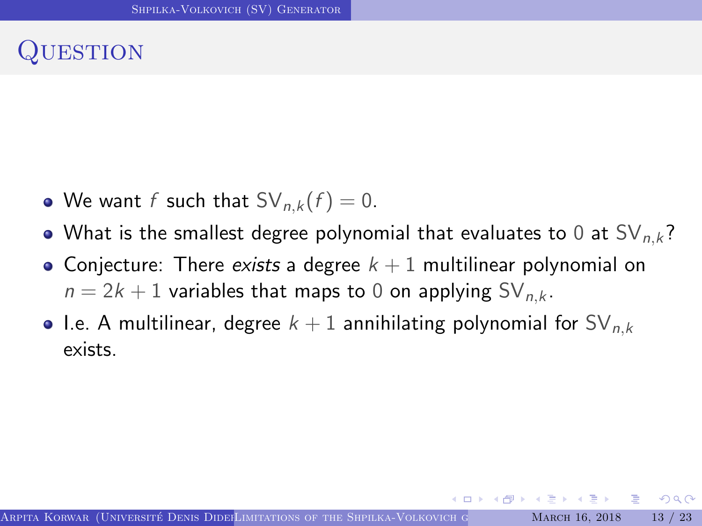## **UESTION**

- We want f such that  $SV_{n,k}(f) = 0$ .
- What is the smallest degree polynomial that evaluates to 0 at  $SV_{n,k}$ ?
- Conjecture: There exists a degree  $k + 1$  multilinear polynomial on  $n = 2k + 1$  variables that maps to 0 on applying SV<sub>n,k</sub>.
- I.e. A multilinear, degree  $k + 1$  annihilating polynomial for  $SV_{n,k}$ exists.

 $\Omega$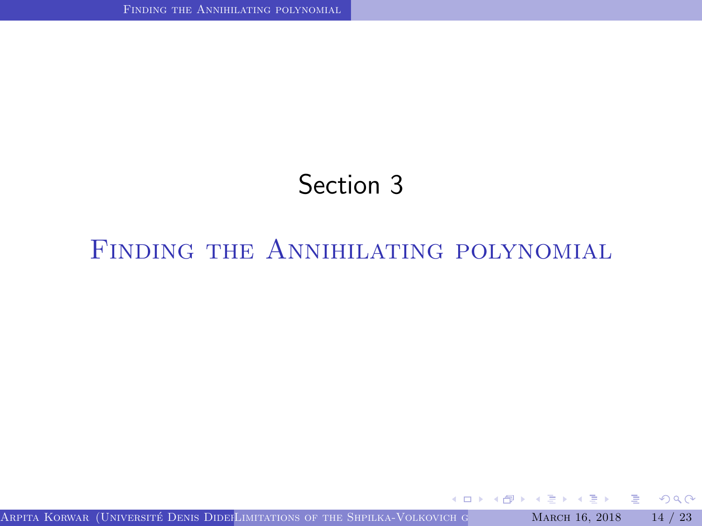# Section 3

# <span id="page-16-0"></span>FINDING THE ANNIHILATING POLYNOMIAL

G.

 $2Q$ 

ミドマミド

**4 ロト 4 何 ト 4**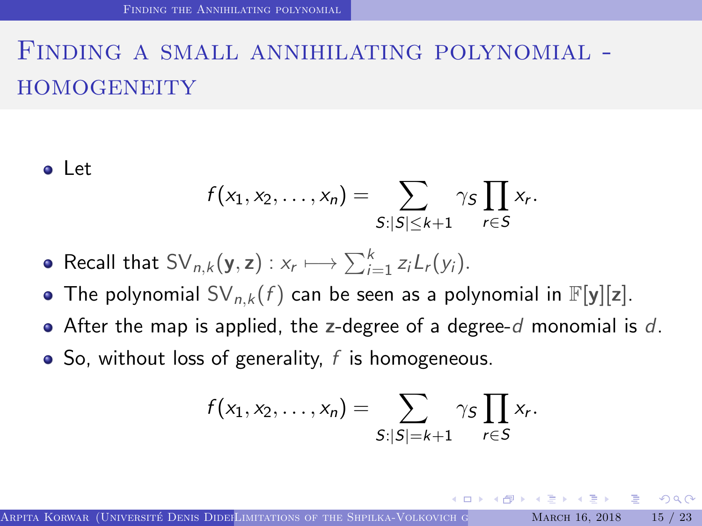# Finding a small annihilating polynomial - **HOMOGENEITY**

o Let

$$
f(x_1,x_2,\ldots,x_n)=\sum_{S:|S|\leq k+1}\gamma_S\prod_{r\in S}x_r.
$$

• Recall that 
$$
SV_{n,k}(\mathbf{y}, \mathbf{z}): x_r \longmapsto \sum_{i=1}^k z_i L_r(y_i)
$$
.

- The polynomial  $SV_{n,k}(f)$  can be seen as a polynomial in  $\mathbb{F}[y][z]$ .
- After the map is applied, the z-degree of a degree-d monomial is d.
- $\bullet$  So, without loss of generality, f is homogeneous.

$$
f(x_1,x_2,\ldots,x_n)=\sum_{S:|S|=k+1}\gamma_S\prod_{r\in S}x_r.
$$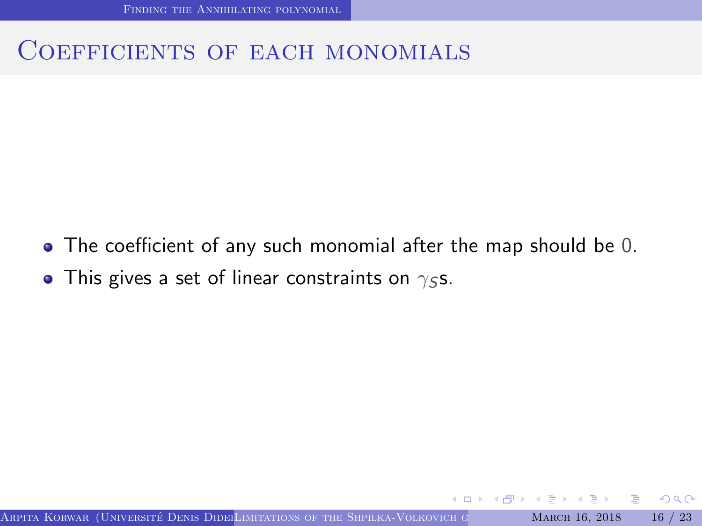#### COEFFICIENTS OF EACH MONOMIALS

- The coefficient of any such monomial after the map should be 0.
- This gives a set of linear constraints on  $\gamma$ ss.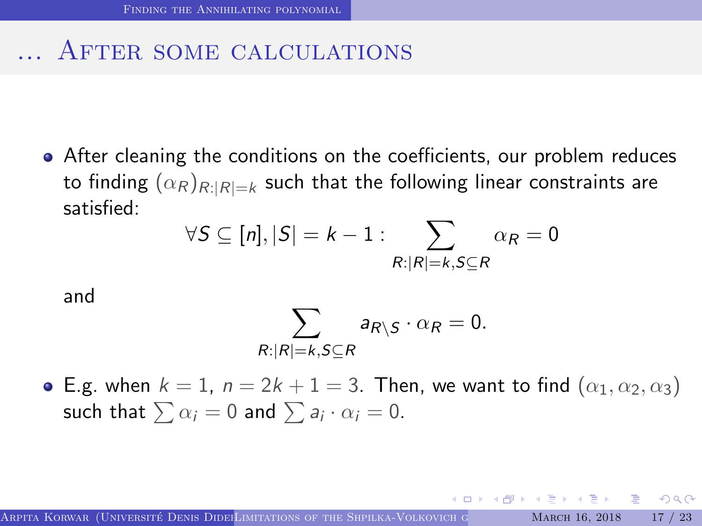#### ... AFTER SOME CALCULATIONS

After cleaning the conditions on the coefficients, our problem reduces to finding  $(\alpha_R)_{R:|R|=k}$  such that the following linear constraints are satisfied:

$$
\forall S \subseteq [n], |S| = k - 1 : \sum_{R : |R| = k, S \subseteq R} \alpha_R = 0
$$

and

$$
\sum_{R:|R|=k,S\subseteq R}a_{R\setminus S}\cdot \alpha_R=0.
$$

• E.g. when  $k = 1$ ,  $n = 2k + 1 = 3$ . Then, we want to find  $(\alpha_1, \alpha_2, \alpha_3)$ such that  $\sum \alpha_i = 0$  and  $\sum a_i \cdot \alpha_i = 0.$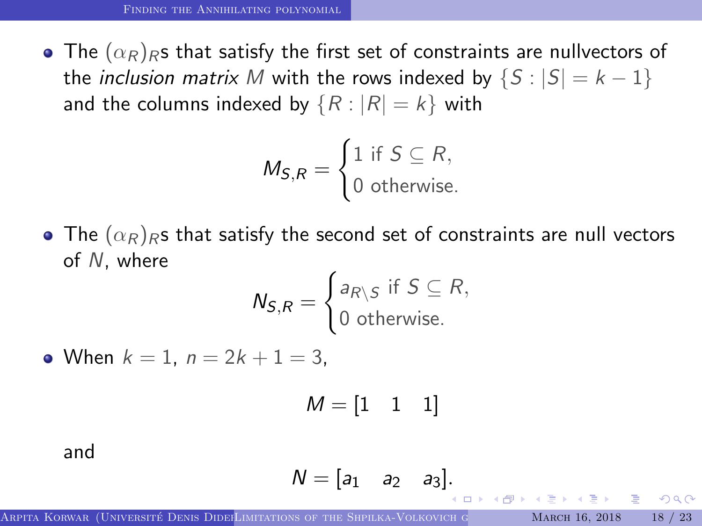• The  $(\alpha_R)_{R}$ s that satisfy the first set of constraints are nullvectors of the *inclusion matrix* M with the rows indexed by  $\{S : |S| = k - 1\}$ and the columns indexed by  $\{R : |R| = k\}$  with

$$
M_{S,R} = \begin{cases} 1 \text{ if } S \subseteq R, \\ 0 \text{ otherwise.} \end{cases}
$$

• The  $(\alpha_R)_R$ s that satisfy the second set of constraints are null vectors of N, where

$$
N_{S,R} = \begin{cases} a_{R\setminus S} & \text{if } S \subseteq R, \\ 0 & \text{otherwise.} \end{cases}
$$

• When  $k = 1$ ,  $n = 2k + 1 = 3$ .

 $M = \begin{bmatrix} 1 & 1 & 1 \end{bmatrix}$ 

and

$$
N=[a_1 \quad a_2 \quad a_3].
$$

 $\Omega$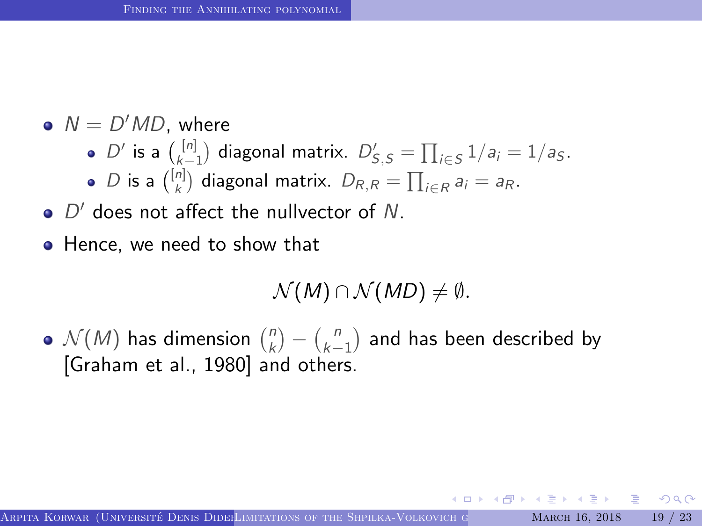- $N = D'MD$ , where
	- $D'$  is a  $\binom{[n]}{k-1}$  diagonal matrix.  $D'_{S,S} = \prod_{i \in S} 1/a_i = 1/a_S$ .
	- D is a  $\binom{[n]}{k}$  diagonal matrix.  $D_{R,R} = \prod_{i \in R} a_i = a_R$ .
- $D'$  does not affect the nullvector of N.
- Hence, we need to show that

$$
\mathcal{N}(M) \cap \mathcal{N}(MD) \neq \emptyset.
$$

 $\mathcal{N}(M)$  has dimension  $\binom{n}{k}$  $\binom{n}{k} - \binom{n}{k-1}$  $\binom{n}{k-1}$  and has been described by [\[Graham et al., 1980\]](#page-26-4) and others.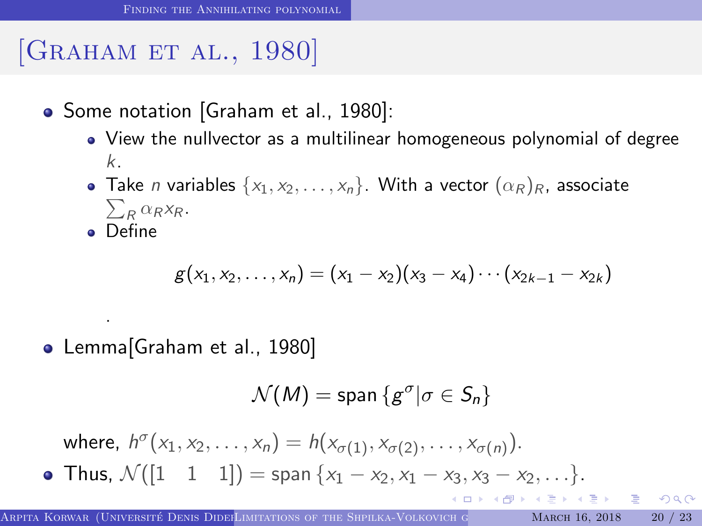# [GRAHAM ET AL., 1980]

- Some notation [\[Graham et al., 1980\]](#page-26-4):
	- View the nullvector as a multilinear homogeneous polynomial of degree k.
	- $\sum_R \alpha_R x_R$ . • Take *n* variables  $\{x_1, x_2, \ldots, x_n\}$ . With a vector  $(\alpha_R)_R$ , associate
	- Define

.

$$
g(x_1, x_2, \ldots, x_n) = (x_1 - x_2)(x_3 - x_4) \cdots (x_{2k-1} - x_{2k})
$$

• Lemma[\[Graham et al., 1980\]](#page-26-4)

$$
\mathcal{N}(M) = \text{span} \left\{ g^{\sigma} | \sigma \in \mathcal{S}_n \right\}
$$

where,  $h^{\sigma}(x_1, x_2, ..., x_n) = h(x_{\sigma(1)}, x_{\sigma(2)}, ..., x_{\sigma(n)}).$ • Thus,  $\mathcal{N}([1 \ 1 \ 1]) = \text{span }\{x_1 - x_2, x_1 - x_3, x_3 - x_2, \ldots\}.$  $\Box \rightarrow \neg \left( \Box \overline{\partial} \rightarrow \neg \left( \Box \right) \rightarrow \neg \left( \Box \right) \right)$ G.  $QQQ$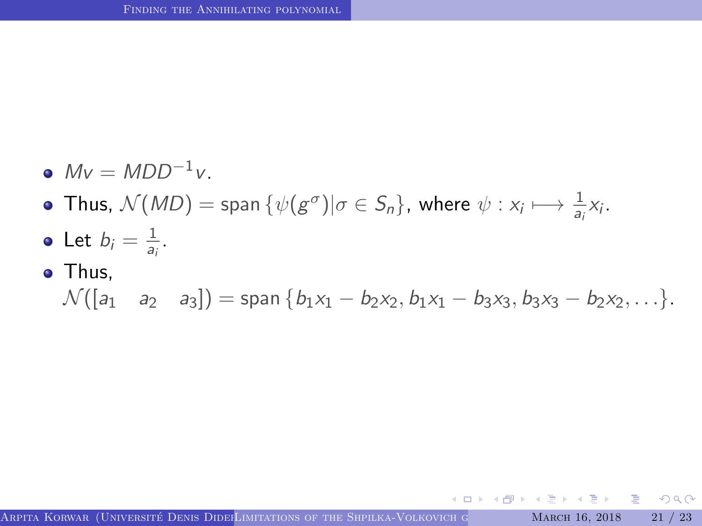- $Mv = MDD^{-1}v.$
- Thus,  $\mathcal{N}(MD) = \text{span } \{ \psi(g^{\sigma}) | \sigma \in S_n \}, \text{ where } \psi: x_i \longmapsto \frac{1}{a_i} x_i.$
- Let  $b_i = \frac{1}{a_i}$  $\frac{1}{a_i}$ .
- Thus,

$$
\mathcal{N}([a_1 \quad a_2 \quad a_3]) = \text{span} \{b_1x_1 - b_2x_2, b_1x_1 - b_3x_3, b_3x_3 - b_2x_2, \ldots\}.
$$

重き マミメ

4 D F

4 F + +

 $\equiv$   $\circ$   $\circ$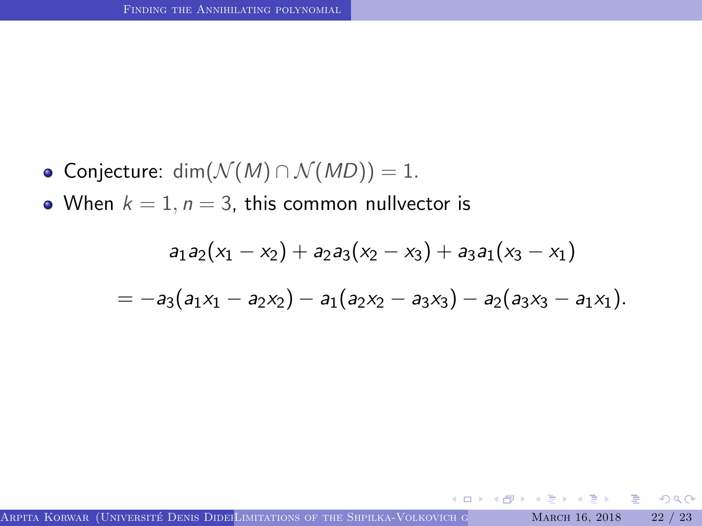• Conjecture: dim $(\mathcal{N}(M) \cap \mathcal{N}(MD)) = 1$ .

• When  $k = 1$ ,  $n = 3$ , this common nullvector is

$$
a_1a_2(x_1 - x_2) + a_2a_3(x_2 - x_3) + a_3a_1(x_3 - x_1)
$$
  
= 
$$
-a_3(a_1x_1 - a_2x_2) - a_1(a_2x_2 - a_3x_3) - a_2(a_3x_3 - a_1x_1).
$$

4 0 8

G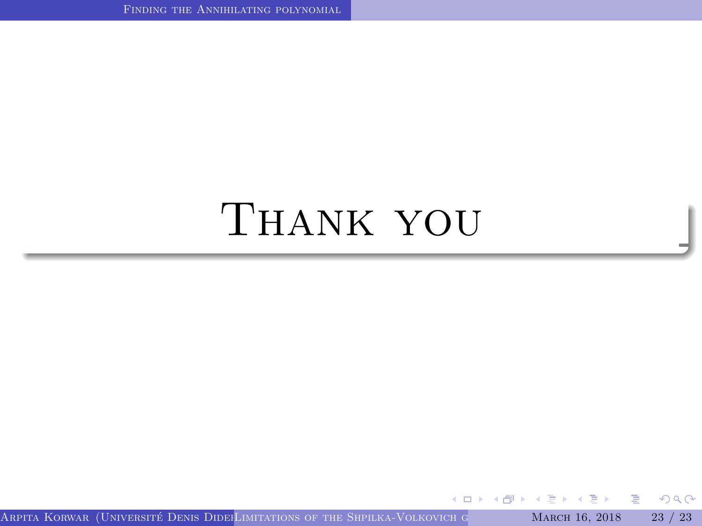# Thank you

**K ロ ト K 伊 ト K** 

ぼう メミう

G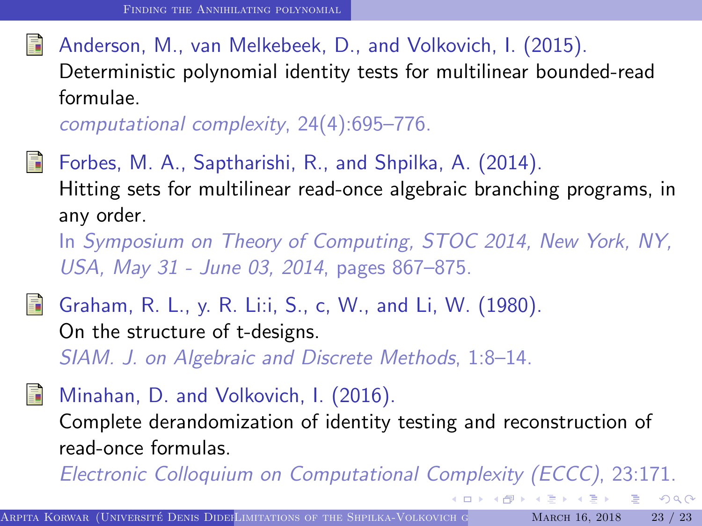#### <span id="page-26-2"></span>Anderson, M., van Melkebeek, D., and Volkovich, I. (2015). Deterministic polynomial identity tests for multilinear bounded-read formulae.

computational complexity, 24(4):695–776.

<span id="page-26-3"></span>Forbes, M. A., Saptharishi, R., and Shpilka, A. (2014). Hitting sets for multilinear read-once algebraic branching programs, in any order.

In Symposium on Theory of Computing, STOC 2014, New York, NY, USA, May 31 - June 03, 2014, pages 867–875.

<span id="page-26-4"></span>

Graham, R. L., y. R. Li:i, S., c, W., and Li, W. (1980). On the structure of t-designs.

SIAM. J. on Algebraic and Discrete Methods, 1:8–14.

<span id="page-26-1"></span>

<span id="page-26-0"></span>Electronic Colloquium on Computational Complexity (ECCC), 23:171.

G.